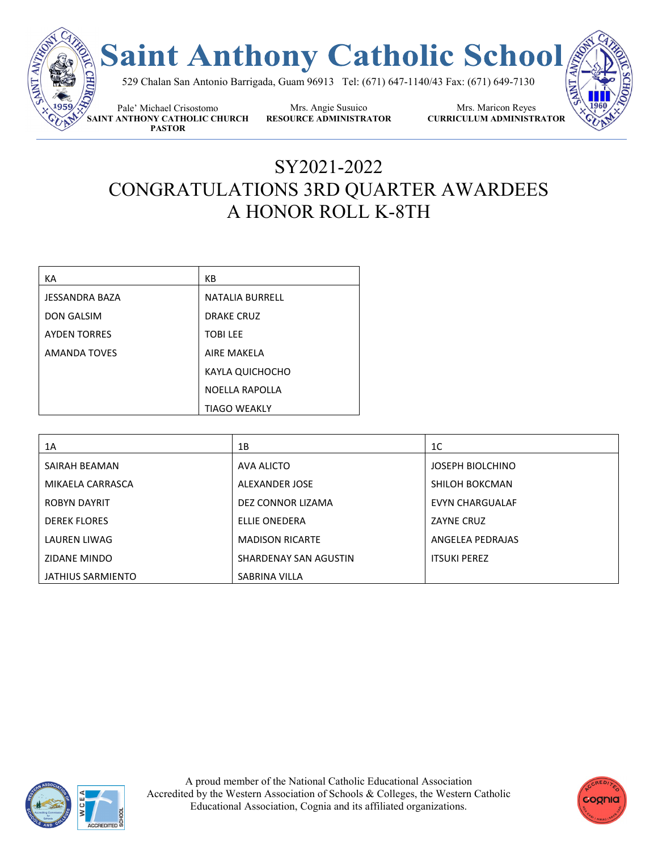

## SY2021-2022 CONGRATULATIONS 3RD QUARTER AWARDEES A HONOR ROLL K-8TH

| КA                  | KB                    |
|---------------------|-----------------------|
| JESSANDRA BAZA      | NATALIA BURRELL       |
| <b>DON GALSIM</b>   | <b>DRAKE CRUZ</b>     |
| <b>AYDEN TORRES</b> | <b>TOBILEE</b>        |
| <b>AMANDA TOVES</b> | <b>AIRF MAKFLA</b>    |
|                     | KAYLA QUICHOCHO       |
|                     | <b>NOELLA RAPOLLA</b> |
|                     | <b>TIAGO WEAKLY</b>   |

| 1A                  | 1B                     | 1C                      |
|---------------------|------------------------|-------------------------|
| SAIRAH BEAMAN       | AVA ALICTO             | <b>JOSEPH BIOLCHINO</b> |
| MIKAELA CARRASCA    | ALEXANDER JOSE         | SHILOH BOKCMAN          |
| <b>ROBYN DAYRIT</b> | DEZ CONNOR LIZAMA      | EVYN CHARGUALAF         |
| <b>DEREK FLORES</b> | ELLIE ONEDERA          | ZAYNE CRUZ              |
| LAUREN LIWAG        | <b>MADISON RICARTE</b> | ANGELEA PEDRAJAS        |
| <b>ZIDANE MINDO</b> | SHARDENAY SAN AGUSTIN  | <b>ITSUKI PEREZ</b>     |
| JATHIUS SARMIENTO   | SABRINA VILLA          |                         |



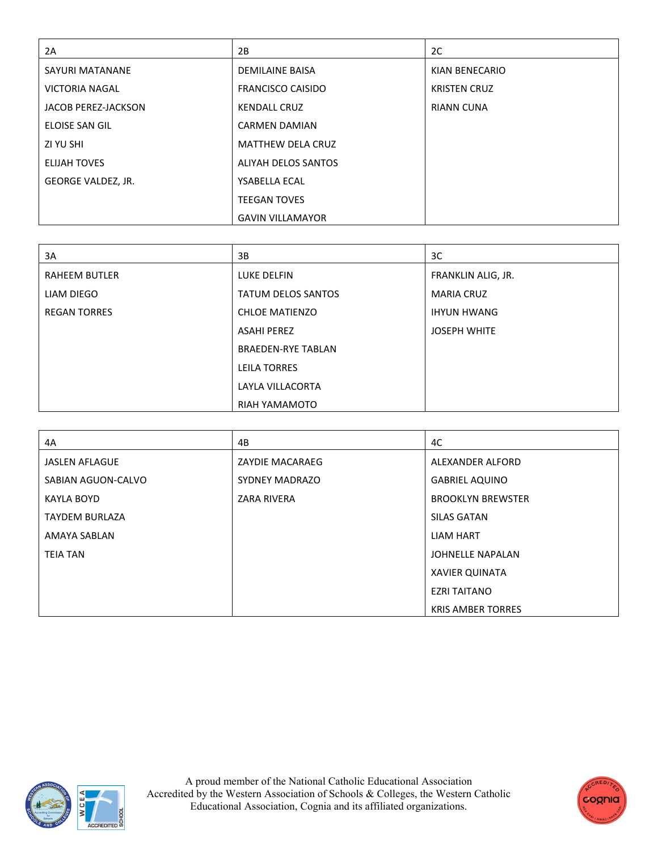| 2A                         | 2B                         | 2C                  |
|----------------------------|----------------------------|---------------------|
| <b>SAYURI MATANANE</b>     | <b>DEMILAINE BAISA</b>     | KIAN BENECARIO      |
| <b>VICTORIA NAGAL</b>      | <b>FRANCISCO CAISIDO</b>   | <b>KRISTEN CRUZ</b> |
| <b>JACOB PEREZ-JACKSON</b> | <b>KENDALL CRUZ</b>        | <b>RIANN CUNA</b>   |
| ELOISE SAN GIL             | <b>CARMEN DAMIAN</b>       |                     |
| ZI YU SHI                  | <b>MATTHEW DELA CRUZ</b>   |                     |
| <b>ELIJAH TOVES</b>        | <b>ALIYAH DELOS SANTOS</b> |                     |
| GEORGE VALDEZ, JR.         | <b>YSABELLA ECAL</b>       |                     |
|                            | <b>TEEGAN TOVES</b>        |                     |
|                            | <b>GAVIN VILLAMAYOR</b>    |                     |

| 3A                   | 3B                        | 3C                  |
|----------------------|---------------------------|---------------------|
| <b>RAHEEM BUTLER</b> | LUKE DELFIN               | FRANKLIN ALIG, JR.  |
| LIAM DIEGO           | <b>TATUM DELOS SANTOS</b> | <b>MARIA CRUZ</b>   |
| <b>REGAN TORRES</b>  | <b>CHLOE MATIENZO</b>     | <b>IHYUN HWANG</b>  |
|                      | <b>ASAHI PEREZ</b>        | <b>JOSEPH WHITE</b> |
|                      | <b>BRAEDEN-RYE TABLAN</b> |                     |
|                      | <b>LEILA TORRES</b>       |                     |
|                      | LAYLA VILLACORTA          |                     |
|                      | RIAH YAMAMOTO             |                     |

| 4A                    | 4B                    | 4C                       |
|-----------------------|-----------------------|--------------------------|
| <b>JASLEN AFLAGUE</b> | ZAYDIE MACARAEG       | ALEXANDER ALFORD         |
| SABIAN AGUON-CALVO    | <b>SYDNEY MADRAZO</b> | <b>GABRIEL AQUINO</b>    |
| KAYLA BOYD            | <b>ZARA RIVERA</b>    | <b>BROOKLYN BREWSTER</b> |
| <b>TAYDEM BURLAZA</b> |                       | <b>SILAS GATAN</b>       |
| AMAYA SABLAN          |                       | <b>LIAM HART</b>         |
| <b>TEIA TAN</b>       |                       | <b>JOHNELLE NAPALAN</b>  |
|                       |                       | <b>XAVIER QUINATA</b>    |
|                       |                       | <b>EZRI TAITANO</b>      |
|                       |                       | <b>KRIS AMBER TORRES</b> |



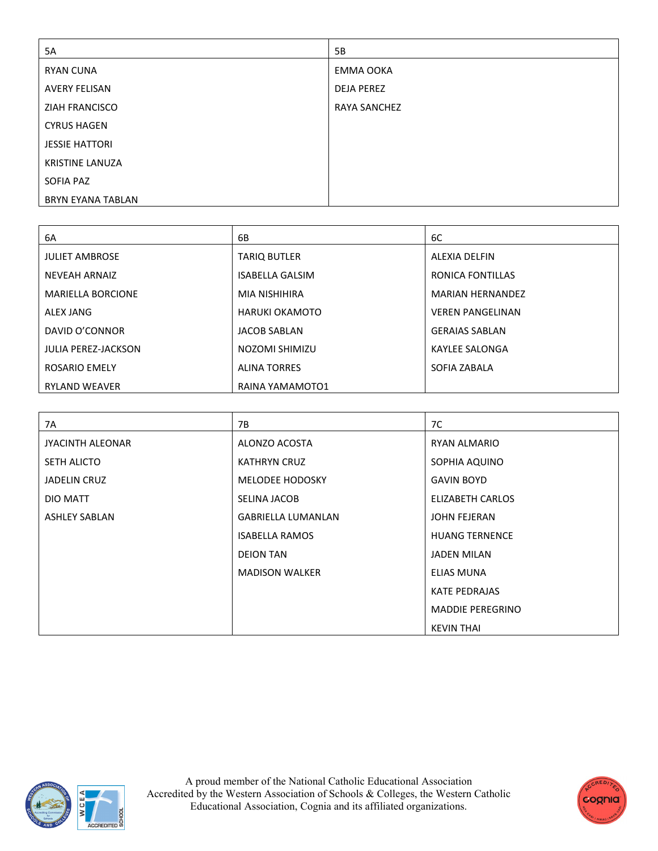| 5A                       | 5B                |
|--------------------------|-------------------|
| <b>RYAN CUNA</b>         | EMMA OOKA         |
| AVERY FELISAN            | <b>DEJA PEREZ</b> |
| ZIAH FRANCISCO           | RAYA SANCHEZ      |
| <b>CYRUS HAGEN</b>       |                   |
| <b>JESSIE HATTORI</b>    |                   |
| <b>KRISTINE LANUZA</b>   |                   |
| SOFIA PAZ                |                   |
| <b>BRYN EYANA TABLAN</b> |                   |

| 6A                         | 6B                     | 6C                      |
|----------------------------|------------------------|-------------------------|
| <b>JULIET AMBROSE</b>      | <b>TARIO BUTLER</b>    | <b>ALEXIA DELFIN</b>    |
| <b>NEVEAH ARNAIZ</b>       | <b>ISABELLA GALSIM</b> | RONICA FONTILLAS        |
| <b>MARIELLA BORCIONE</b>   | <b>MIA NISHIHIRA</b>   | <b>MARIAN HERNANDEZ</b> |
| ALEX JANG                  | HARUKI OKAMOTO         | <b>VEREN PANGELINAN</b> |
| DAVID O'CONNOR             | <b>JACOB SABLAN</b>    | <b>GERAIAS SABLAN</b>   |
| <b>JULIA PEREZ-JACKSON</b> | NOZOMI SHIMIZU         | <b>KAYLEE SALONGA</b>   |
| <b>ROSARIO EMELY</b>       | <b>ALINA TORRES</b>    | SOFIA ZABALA            |
| <b>RYLAND WEAVER</b>       | RAINA YAMAMOTO1        |                         |

| 7A                   | 7B                        | 7C                      |
|----------------------|---------------------------|-------------------------|
| JYACINTH ALEONAR     | ALONZO ACOSTA             | RYAN ALMARIO            |
| <b>SETH ALICTO</b>   | <b>KATHRYN CRUZ</b>       | SOPHIA AQUINO           |
| <b>JADELIN CRUZ</b>  | MELODEE HODOSKY           | <b>GAVIN BOYD</b>       |
| DIO MATT             | SELINA JACOB              | ELIZABETH CARLOS        |
| <b>ASHLEY SABLAN</b> | <b>GABRIELLA LUMANLAN</b> | <b>JOHN FEJERAN</b>     |
|                      | <b>ISABELLA RAMOS</b>     | <b>HUANG TERNENCE</b>   |
|                      | <b>DEION TAN</b>          | <b>JADEN MILAN</b>      |
|                      | <b>MADISON WALKER</b>     | <b>ELIAS MUNA</b>       |
|                      |                           | <b>KATE PEDRAJAS</b>    |
|                      |                           | <b>MADDIE PEREGRINO</b> |
|                      |                           | <b>KEVIN THAI</b>       |